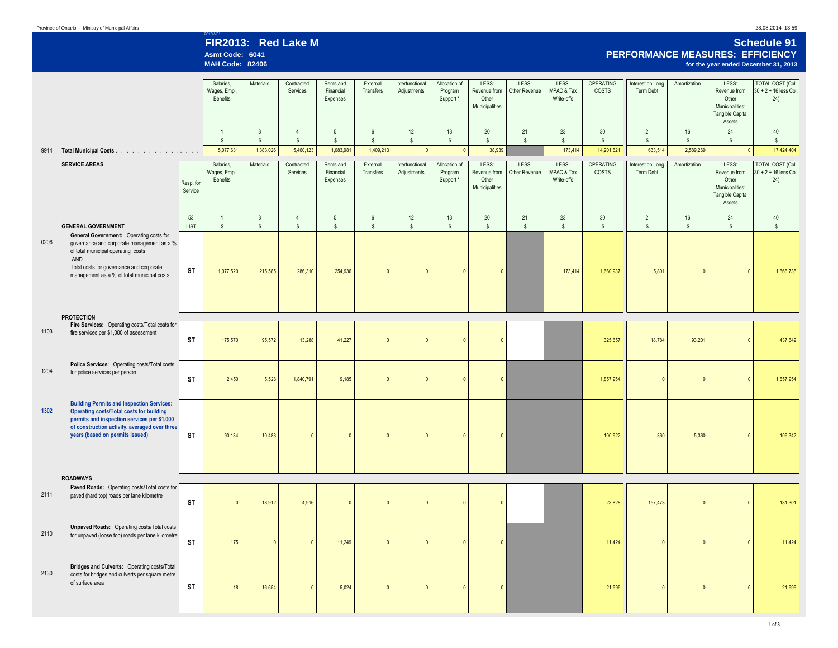| Province of Ontario - Ministry of Municipal Affairs |  |  |  |  |
|-----------------------------------------------------|--|--|--|--|
|-----------------------------------------------------|--|--|--|--|

## 2013-V01 **FIR2013: Red Lake M Schedule 91 Asmt Code: 6041 PERFORMANCE MEASURES: EFFICIENCY MAH Code: 82406 for the year ended December 31, 2013**

|      |                                                                                                                                                                                                                                        |                      | Salaries,<br>Wages, Empl.<br>Benefits | Materials                        | Contracted<br>Services         | Rents and<br>Financial<br>Expenses | External<br>Transfers             | Interfunctional<br>Adjustments | Allocation of<br>Program<br>Support * | LESS:<br>Revenue from<br>Other<br>Municipalities | LESS:<br>Other Revenue | LESS:<br>MPAC & Tax<br>Write-offs | <b>OPERATING</b><br><b>COSTS</b> | Interest on Long<br>Term Debt   | Amortization       | LESS:<br>Revenue from<br>Other<br>Municipalities:<br><b>Tangible Capital</b><br>Assets | <b>TOTAL COST (Col.</b><br>$30 + 2 + 16$ less Col.<br>24) |
|------|----------------------------------------------------------------------------------------------------------------------------------------------------------------------------------------------------------------------------------------|----------------------|---------------------------------------|----------------------------------|--------------------------------|------------------------------------|-----------------------------------|--------------------------------|---------------------------------------|--------------------------------------------------|------------------------|-----------------------------------|----------------------------------|---------------------------------|--------------------|----------------------------------------------------------------------------------------|-----------------------------------------------------------|
|      |                                                                                                                                                                                                                                        |                      | $\overline{1}$<br>$$\mathbb{S}$$      | $\overline{3}$<br>$$\mathbb{S}$$ | $\overline{4}$<br>$\mathbb{S}$ | $5\overline{5}$<br>$$\mathbb{S}$$  | $6\overline{6}$<br>$\mathbb{S}$   | 12<br>$\mathbb{S}$             | 13<br>$\mathbb{S}$                    | 20<br>s.                                         | 21<br>$\mathbb{S}$     | 23<br>$\mathbb{S}$                | 30<br>$\mathbb{S}$               | $\overline{2}$<br>$\mathsf{\$}$ | 16<br>$\mathsf{s}$ | 24<br>s                                                                                | 40<br>$$\mathbb{S}$$                                      |
| 9914 | Total Municipal Costs                                                                                                                                                                                                                  |                      | 5,077,631                             | 1,383,026                        | 5,460,123                      | 1,083,981                          | 1,409,213                         | $\mathbf{0}$                   | $\mathbf{0}$                          | 38,939                                           |                        | 173,414                           | 14,201,621                       | 633,514                         | 2,589,269          | $\Omega$                                                                               | 17,424,404                                                |
|      | <b>SERVICE AREAS</b>                                                                                                                                                                                                                   |                      | Salaries,<br>Wages, Empl.             | Materials                        | Contracted<br>Services         | Rents and<br>Financial             | External<br>Transfers             | Interfunctional<br>Adjustments | Allocation of<br>Program              | LESS:<br>Revenue from                            | LESS:<br>Other Revenue | LESS:<br>MPAC & Tax               | <b>OPERATING</b><br>COSTS        | Interest on Long<br>Term Debt   | Amortization       | LESS:<br>Revenue from                                                                  | <b>TOTAL COST (Col.</b><br>$30 + 2 + 16$ less Col.        |
|      |                                                                                                                                                                                                                                        | Resp. for<br>Service | Benefits                              |                                  |                                | Expenses                           |                                   |                                | Support *                             | Other<br>Municipalities                          |                        | Write-offs                        |                                  |                                 |                    | Other<br>Municipalities:<br><b>Tangible Capital</b><br>Assets                          | 24)                                                       |
|      | <b>GENERAL GOVERNMENT</b>                                                                                                                                                                                                              | 53<br><b>LIST</b>    | $\overline{1}$<br>$$\mathbb{S}$$      | $\mathbf{3}$<br>$$\mathbb{S}$$   | $\overline{4}$<br>$\mathbb{S}$ | 5<br>$\mathbb{S}$                  | $6\phantom{.0}$<br>$$\mathbb{S}$$ | 12<br>$$\mathbb{S}$$           | 13<br>$\mathbb{S}$                    | 20<br>$\mathbb{S}$                               | 21<br>$\mathsf{s}$     | 23<br>$\mathsf{s}$                | 30<br>$$\mathbb{S}$$             | $\overline{2}$<br>$\mathsf{\$}$ | 16<br>$\mathsf{s}$ | 24<br>$\mathbb{S}$                                                                     | $40\,$<br>$$\mathbb{S}$$                                  |
| 0206 | General Government: Operating costs for<br>governance and corporate management as a %<br>of total municipal operating costs<br>AND<br>Total costs for governance and corporate<br>management as a % of total municipal costs           | <b>ST</b>            | 1,077,520                             | 215,585                          | 286,310                        | 254,936                            | $\theta$                          |                                | $\mathbf{0}$                          | $\Omega$                                         |                        | 173,414                           | 1,660,937                        | 5,801                           | $\mathbf{0}$       |                                                                                        | 1,666,738                                                 |
| 1103 | <b>PROTECTION</b><br>Fire Services: Operating costs/Total costs for<br>fire services per \$1,000 of assessment                                                                                                                         | <b>ST</b>            | 175,570                               | 95,572                           | 13,288                         | 41,227                             | $\mathbf{0}$                      | $\sqrt{ }$                     | $\overline{0}$                        | $\Omega$                                         |                        |                                   | 325,657                          | 18,784                          | 93,201             | $\Omega$                                                                               | 437,642                                                   |
| 1204 | Police Services: Operating costs/Total costs<br>for police services per person                                                                                                                                                         | <b>ST</b>            | 2,450                                 | 5,528                            | 1,840,791                      | 9,185                              | $\Omega$                          | $\sqrt{ }$                     | $\sqrt{2}$                            | $\Omega$                                         |                        |                                   | 1,857,954                        | $\Omega$                        | $\Omega$           |                                                                                        | 1,857,954                                                 |
| 1302 | <b>Building Permits and Inspection Services:</b><br><b>Operating costs/Total costs for building</b><br>permits and inspection services per \$1,000<br>of construction activity, averaged over three<br>years (based on permits issued) | ST                   | 90,134                                | 10,488                           | $\Omega$                       | $\Omega$                           | $\mathbf{0}$                      | $\sqrt{ }$                     | $\sqrt{ }$                            | $\overline{0}$                                   |                        |                                   | 100,622                          | 360                             | 5,360              | $\mathbf{0}$                                                                           | 106,342                                                   |
|      | <b>ROADWAYS</b>                                                                                                                                                                                                                        |                      |                                       |                                  |                                |                                    |                                   |                                |                                       |                                                  |                        |                                   |                                  |                                 |                    |                                                                                        |                                                           |
| 2111 | Paved Roads: Operating costs/Total costs for<br>paved (hard top) roads per lane kilometre                                                                                                                                              | <b>ST</b>            | $\overline{0}$                        | 18,912                           | 4,916                          | $\overline{0}$                     | $\mathbf{0}$                      | -C                             | $\mathbf{0}$                          | $\mathbf{0}$                                     |                        |                                   | 23,828                           | 157,473                         | $\mathbf{0}$       | $\mathbf{0}$                                                                           | 181,301                                                   |
| 2110 | <b>Unpaved Roads:</b> Operating costs/Total costs<br>for unpaved (loose top) roads per lane kilometre                                                                                                                                  | ST                   | 175                                   |                                  | $\Omega$                       | 11.249                             | $\mathbf{0}$                      | $\Omega$                       | $\Omega$                              | $\Omega$                                         |                        |                                   | 11,424                           | $\mathbf{0}$                    | $\mathbf{0}$       | $\overline{0}$                                                                         | 11,424                                                    |
| 2130 | Bridges and Culverts: Operating costs/Total<br>costs for bridges and culverts per square metre<br>of surface area                                                                                                                      | <b>ST</b>            | 18                                    | 16,654                           | $\Omega$                       | 5,024                              | $\mathbf{0}$                      | $\Omega$                       | $\mathbf{0}$                          | $\overline{0}$                                   |                        |                                   | 21,696                           | $\mathbf{0}$                    | $\mathbf{0}$       | $\Omega$                                                                               | 21,696                                                    |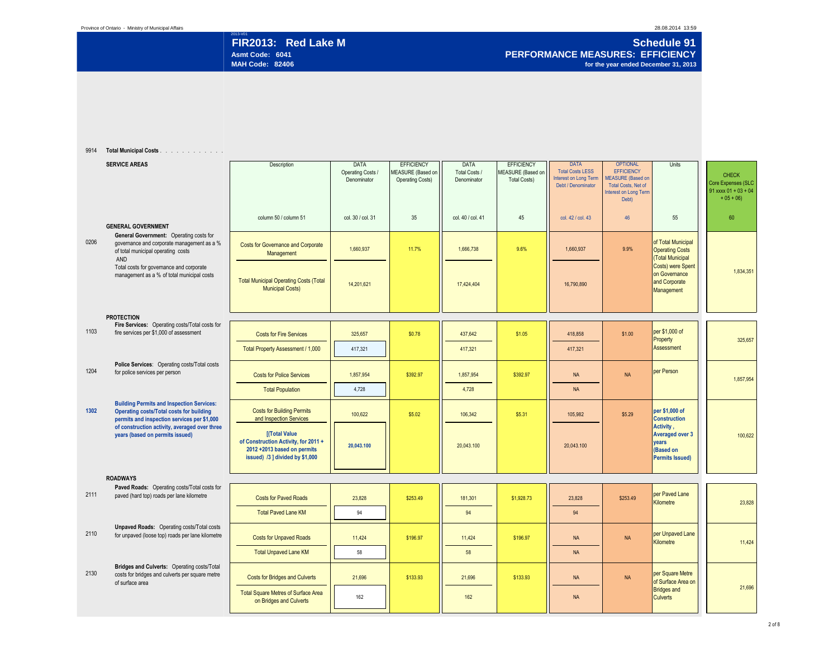## 2013-V01 **Schedule 91 FIR2013: Red Lake M Schedule 91 PERFORMANCE MEASURES: EFFICIENCY Asmt Code: 6041 PERFORMANCE MEASURES: EFFICIENCY for the year ended December 31, 2013**

9914 **Total Municipal Costs** . . . . . . . . . . . . . . . . . . . . . . . . . . . .

|      | <b>SERVICE AREAS</b>                                                                                                                               | Description                                                                                                                    | <b>DATA</b><br>Operating Costs /<br>Denominator | <b>EFFICIENCY</b><br>MEASURE (Based on<br><b>Operating Costs)</b> | <b>DATA</b><br>Total Costs /<br>Denominator | <b>EFFICIENCY</b><br>MEASURE (Based on<br><b>Total Costs)</b> | <b>DATA</b><br><b>Total Costs LESS</b><br>Interest on Long Term<br>Debt / Denominator | <b>OPTIONAL</b><br><b>EFFICIENCY</b><br><b>MEASURE</b> (Based on<br><b>Total Costs, Net of</b><br><b>Interest on Long Term</b><br>Debt) | Units                                                                               | <b>CHECK</b><br>Core Expenses (SLC<br>$91$ xxxx $01 + 03 + 04$<br>$+05 + 06$ |
|------|----------------------------------------------------------------------------------------------------------------------------------------------------|--------------------------------------------------------------------------------------------------------------------------------|-------------------------------------------------|-------------------------------------------------------------------|---------------------------------------------|---------------------------------------------------------------|---------------------------------------------------------------------------------------|-----------------------------------------------------------------------------------------------------------------------------------------|-------------------------------------------------------------------------------------|------------------------------------------------------------------------------|
|      | <b>GENERAL GOVERNMENT</b>                                                                                                                          | column 50 / column 51                                                                                                          | col. 30 / col. 31                               | 35                                                                | col. 40 / col. 41                           | 45                                                            | col. 42 / col. 43                                                                     | 46                                                                                                                                      | 55                                                                                  | 60                                                                           |
| 0206 | General Government: Operating costs for<br>governance and corporate management as a %<br>of total municipal operating costs<br>AND                 | <b>Costs for Governance and Corporate</b><br>Management                                                                        | 1.660.937                                       | 11.7%                                                             | 1.666.738                                   | 9.6%                                                          | 1.660.937                                                                             | 9.9%                                                                                                                                    | of Total Municipal<br><b>Operating Costs</b><br>(Total Municipal                    |                                                                              |
|      | Total costs for governance and corporate<br>management as a % of total municipal costs                                                             | <b>Total Municipal Operating Costs (Total</b><br><b>Municipal Costs)</b>                                                       | 14.201.621                                      |                                                                   | 17,424,404                                  |                                                               | 16.790.890                                                                            |                                                                                                                                         | Costs) were Spent<br>on Governance<br>and Corporate<br>Management                   | 1,834,351                                                                    |
|      | <b>PROTECTION</b>                                                                                                                                  |                                                                                                                                |                                                 |                                                                   |                                             |                                                               |                                                                                       |                                                                                                                                         |                                                                                     |                                                                              |
| 1103 | Fire Services: Operating costs/Total costs for<br>fire services per \$1,000 of assessment                                                          | <b>Costs for Fire Services</b>                                                                                                 | 325,657                                         | \$0.78                                                            | 437,642                                     | \$1.05                                                        | 418,858                                                                               | \$1.00                                                                                                                                  | per \$1,000 of<br>Property                                                          | 325,657                                                                      |
|      |                                                                                                                                                    | Total Property Assessment / 1,000                                                                                              | 417,321                                         |                                                                   | 417,321                                     |                                                               | 417,321                                                                               |                                                                                                                                         | Assessment                                                                          |                                                                              |
| 1204 | Police Services: Operating costs/Total costs<br>for police services per person                                                                     | <b>Costs for Police Services</b>                                                                                               | 1,857,954                                       | \$392.97                                                          | 1,857,954                                   | \$392.97                                                      | <b>NA</b>                                                                             | <b>NA</b>                                                                                                                               | per Person                                                                          | 1,857,954                                                                    |
|      |                                                                                                                                                    | <b>Total Population</b>                                                                                                        | 4,728                                           |                                                                   | 4,728                                       |                                                               | <b>NA</b>                                                                             |                                                                                                                                         |                                                                                     |                                                                              |
| 1302 | <b>Building Permits and Inspection Services:</b><br><b>Operating costs/Total costs for building</b><br>permits and inspection services per \$1,000 | <b>Costs for Building Permits</b><br>and Inspection Services                                                                   | 100,622                                         | \$5.02                                                            | 106,342                                     | \$5.31                                                        | 105,982                                                                               | \$5.29                                                                                                                                  | per \$1,000 of<br><b>Construction</b>                                               |                                                                              |
|      | of construction activity, averaged over three<br>years (based on permits issued)                                                                   | <b>[(Total Value</b><br>of Construction Activity, for 2011 +<br>2012 +2013 based on permits<br>issued) /3 ] divided by \$1,000 | 20.043.100                                      |                                                                   | 20,043.100                                  |                                                               | 20.043.100                                                                            |                                                                                                                                         | Activity,<br><b>Averaged over 3</b><br>vears<br>(Based on<br><b>Permits Issued)</b> | 100,622                                                                      |
|      | <b>ROADWAYS</b>                                                                                                                                    |                                                                                                                                |                                                 |                                                                   |                                             |                                                               |                                                                                       |                                                                                                                                         |                                                                                     |                                                                              |
| 2111 | Paved Roads: Operating costs/Total costs for<br>paved (hard top) roads per lane kilometre                                                          | <b>Costs for Paved Roads</b>                                                                                                   | 23,828                                          | \$253.49                                                          | 181,301                                     | \$1,928.73                                                    | 23,828                                                                                | \$253.49                                                                                                                                | per Paved Lane<br>Kilometre                                                         | 23,828                                                                       |
|      |                                                                                                                                                    | <b>Total Paved Lane KM</b>                                                                                                     | 94                                              |                                                                   | 94                                          |                                                               | 94                                                                                    |                                                                                                                                         |                                                                                     |                                                                              |
| 2110 | <b>Unpaved Roads:</b> Operating costs/Total costs<br>for unpaved (loose top) roads per lane kilometre                                              | <b>Costs for Unpaved Roads</b>                                                                                                 | 11,424                                          | \$196.97                                                          | 11,424                                      | \$196.97                                                      | <b>NA</b>                                                                             | <b>NA</b>                                                                                                                               | per Unpaved Lane<br>Kilometre                                                       | 11,424                                                                       |
|      |                                                                                                                                                    | <b>Total Unpaved Lane KM</b>                                                                                                   | 58                                              |                                                                   | 58                                          |                                                               | <b>NA</b>                                                                             |                                                                                                                                         |                                                                                     |                                                                              |
| 2130 | Bridges and Culverts: Operating costs/Total<br>costs for bridges and culverts per square metre<br>of surface area                                  | <b>Costs for Bridges and Culverts</b>                                                                                          | 21,696                                          | \$133.93                                                          | 21,696                                      | \$133.93                                                      | <b>NA</b>                                                                             | <b>NA</b>                                                                                                                               | per Square Metre<br>of Surface Area on                                              |                                                                              |
|      |                                                                                                                                                    | <b>Total Square Metres of Surface Area</b><br>on Bridges and Culverts                                                          | 162                                             |                                                                   | 162                                         |                                                               | <b>NA</b>                                                                             |                                                                                                                                         | <b>Bridges and</b><br><b>Culverts</b>                                               | 21,696                                                                       |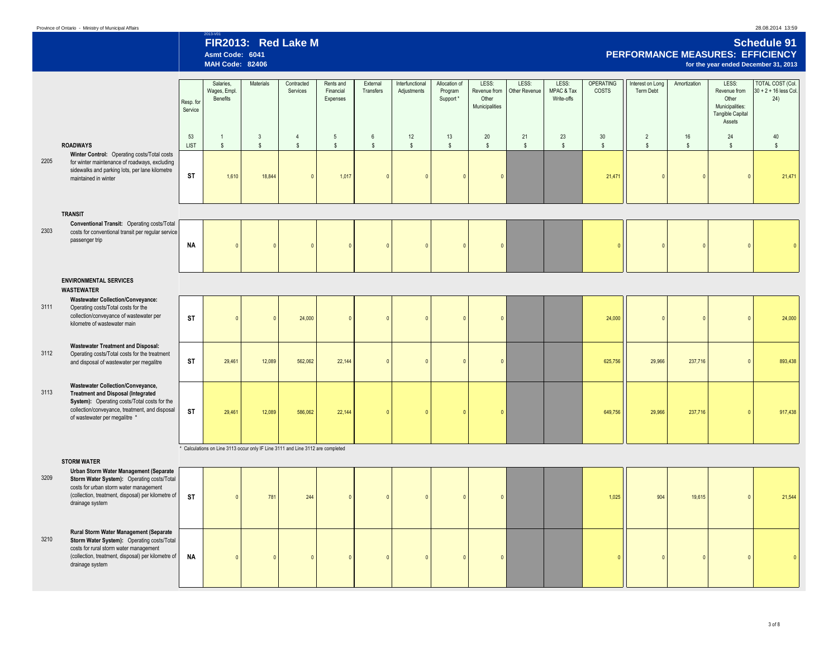2013-V01 **FIR2013: Red Lake M Schedule 91 Asmt Code: 6041 PERFORMANCE MEASURES: EFFICIENCY MAH Code: 82406 for the year ended December 31, 2013**

|      |                                                                                                                                                                                                                          | Resp. for<br>Service | Salaries.<br>Wages, Empl.<br>Benefits | Materials                                                                       | Contracted<br>Services           | Rents and<br>Financial<br>Expenses | External<br>Transfers             | Interfunctional<br>Adjustments | Allocation of<br>Program<br>Support* | LESS:<br>Revenue from<br>Other<br>Municipalities | LESS:<br>Other Revenue | LESS:<br>MPAC & Tax<br>Write-offs | OPERATING<br>COSTS   | Interest on Long<br>Term Debt    | Amortization       | LESS:<br>Revenue from<br>Other<br>Municipalities:       | <b>TOTAL COST (Col.</b><br>$30 + 2 + 16$ less Col.<br>24) |
|------|--------------------------------------------------------------------------------------------------------------------------------------------------------------------------------------------------------------------------|----------------------|---------------------------------------|---------------------------------------------------------------------------------|----------------------------------|------------------------------------|-----------------------------------|--------------------------------|--------------------------------------|--------------------------------------------------|------------------------|-----------------------------------|----------------------|----------------------------------|--------------------|---------------------------------------------------------|-----------------------------------------------------------|
|      | <b>ROADWAYS</b>                                                                                                                                                                                                          | 53<br><b>LIST</b>    | $\mathbf{1}$<br>$\sqrt[6]{3}$         | $\mathbf{3}$<br>$$\mathbb{S}$$                                                  | $\overline{4}$<br>$$\mathbb{S}$$ | $5\phantom{.0}$<br>$$\mathbb{S}$$  | $6\phantom{.0}$<br>$$\mathbb{S}$$ | 12<br>$$\mathbb{S}$$           | 13<br>$\mathbb{S}$                   | 20<br>$\mathbb{S}$                               | 21<br>$\mathbb{S}$     | 23<br>$$\mathbb{S}$$              | 30<br>$$\mathbb{S}$$ | $\overline{2}$<br>$$\mathbb{S}$$ | 16<br>$\mathsf{s}$ | <b>Tangible Capital</b><br>Assets<br>24<br>$\mathbb{S}$ | 40<br>$\mathsf{\$}$                                       |
| 2205 | Winter Control: Operating costs/Total costs<br>for winter maintenance of roadways, excluding<br>sidewalks and parking lots, per lane kilometre<br>maintained in winter                                                   | <b>ST</b>            | 1,610                                 | 18,844                                                                          | $\Omega$                         | 1,017                              | $\Omega$                          | $\Omega$                       | $\Omega$                             | $\mathbf{0}$                                     |                        |                                   | 21,471               | $\mathbf{0}$                     | $\theta$           | $\mathbf{0}$                                            | 21,471                                                    |
|      | <b>TRANSIT</b>                                                                                                                                                                                                           |                      |                                       |                                                                                 |                                  |                                    |                                   |                                |                                      |                                                  |                        |                                   |                      |                                  |                    |                                                         |                                                           |
| 2303 | Conventional Transit: Operating costs/Total<br>costs for conventional transit per regular service<br>passenger trip                                                                                                      | <b>NA</b>            | $\mathbf{0}$                          |                                                                                 | $\Omega$                         | $\Omega$                           | $\overline{0}$                    | $\Omega$                       | $\mathbf{0}$                         | $\mathbf{0}$                                     |                        |                                   |                      | $\mathbf{0}$                     | $\overline{0}$     | $\mathbf{0}$                                            | $\Omega$                                                  |
|      | <b>ENVIRONMENTAL SERVICES</b><br><b>WASTEWATER</b>                                                                                                                                                                       |                      |                                       |                                                                                 |                                  |                                    |                                   |                                |                                      |                                                  |                        |                                   |                      |                                  |                    |                                                         |                                                           |
| 3111 | <b>Wastewater Collection/Conveyance:</b><br>Operating costs/Total costs for the<br>collection/conveyance of wastewater per<br>kilometre of wastewater main                                                               | <b>ST</b>            | $\mathbf{0}$                          |                                                                                 | 24,000                           | $\Omega$                           | $\overline{0}$                    | $\sqrt{ }$                     | $\sqrt{ }$                           | $\mathbf 0$                                      |                        |                                   | 24,000               | $\mathbf{0}$                     | $\Omega$           | $\overline{0}$                                          | 24,000                                                    |
| 3112 | <b>Wastewater Treatment and Disposal:</b><br>Operating costs/Total costs for the treatment<br>and disposal of wastewater per megalitre                                                                                   | <b>ST</b>            | 29,461                                | 12,089                                                                          | 562,062                          | 22,144                             |                                   | $\Omega$                       | $\Omega$                             | $\mathbf{0}$                                     |                        |                                   | 625,756              | 29,966                           | 237,716            |                                                         | 893,438                                                   |
| 3113 | <b>Wastewater Collection/Conveyance,</b><br><b>Treatment and Disposal (Integrated</b><br>System): Operating costs/Total costs for the<br>collection/conveyance, treatment, and disposal<br>of wastewater per megalitre * | <b>ST</b>            | 29,461                                | 12,089                                                                          | 586,062                          | 22,144                             | $\Omega$                          | $\sqrt{ }$                     | $\Omega$                             | $\overline{\mathbf{0}}$                          |                        |                                   | 649,756              | 29,966                           | 237,716            | $\mathbf{0}$                                            | 917,438                                                   |
|      | <b>STORM WATER</b>                                                                                                                                                                                                       |                      |                                       | * Calculations on Line 3113 occur only IF Line 3111 and Line 3112 are completed |                                  |                                    |                                   |                                |                                      |                                                  |                        |                                   |                      |                                  |                    |                                                         |                                                           |
| 3209 | Urban Storm Water Management (Separate<br>Storm Water System): Operating costs/Total<br>costs for urban storm water management<br>(collection, treatment, disposal) per kilometre of<br>drainage system                  | <b>ST</b>            | $\mathbf{0}$                          | 781                                                                             | 244                              | $\Omega$                           | $\theta$                          | $\mathbf{0}$                   | $\mathbf{0}$                         | $\mathbf 0$                                      |                        |                                   | 1,025                | 904                              | 19,615             | $\mathbf{0}$                                            | 21,544                                                    |
| 3210 | Rural Storm Water Management (Separate<br>Storm Water System): Operating costs/Total<br>costs for rural storm water management<br>(collection, treatment, disposal) per kilometre of<br>drainage system                  | <b>NA</b>            | $\mathbf{0}$                          |                                                                                 | $\Omega$                         | $\Omega$                           | $\Omega$                          | $\Omega$                       | $\Omega$                             | $\mathbf{0}$                                     |                        |                                   | $\sqrt{2}$           | $\Omega$                         | $\Omega$           | $\Omega$                                                |                                                           |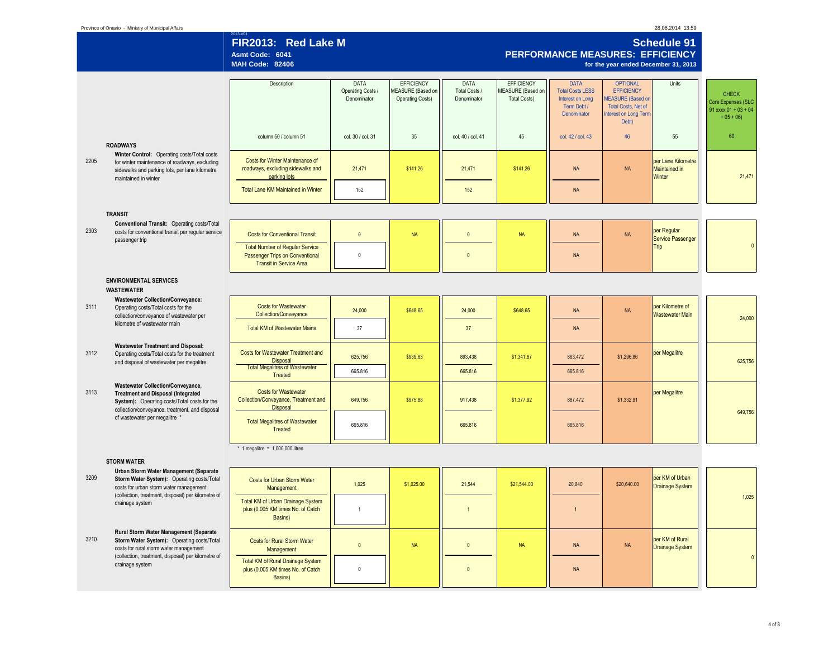|      | Province of Ontario - Ministry of Municipal Affairs                                                                                                                                     |                                                                                                             |                                          |                                                                   |                                      |                                                               |                                                                                                 |                                                                                                                                  | 28.08.2014 13:59                              |                                                                              |
|------|-----------------------------------------------------------------------------------------------------------------------------------------------------------------------------------------|-------------------------------------------------------------------------------------------------------------|------------------------------------------|-------------------------------------------------------------------|--------------------------------------|---------------------------------------------------------------|-------------------------------------------------------------------------------------------------|----------------------------------------------------------------------------------------------------------------------------------|-----------------------------------------------|------------------------------------------------------------------------------|
|      |                                                                                                                                                                                         | FIR2013: Red Lake M<br>Asmt Code: 6041<br><b>MAH Code: 82406</b>                                            |                                          |                                                                   |                                      |                                                               |                                                                                                 | PERFORMANCE MEASURES: EFFICIENCY<br>for the year ended December 31, 2013                                                         | <b>Schedule 91</b>                            |                                                                              |
|      |                                                                                                                                                                                         | Description                                                                                                 | DATA<br>Operating Costs /<br>Denominator | <b>EFFICIENCY</b><br>MEASURE (Based on<br><b>Operating Costs)</b> | DATA<br>Total Costs /<br>Denominator | <b>EFFICIENCY</b><br>MEASURE (Based on<br><b>Total Costs)</b> | <b>DATA</b><br><b>Total Costs LESS</b><br><b>Interest on Long</b><br>Term Debt /<br>Denominator | <b>OPTIONAL</b><br><b>EFFICIENCY</b><br><b>MEASURE</b> (Based on<br>Total Costs, Net of<br><b>Interest on Long Term</b><br>Debt) | Units                                         | <b>CHECK</b><br>Core Expenses (SLC<br>$91$ xxxx $01 + 03 + 04$<br>$+05 + 06$ |
|      | <b>ROADWAYS</b>                                                                                                                                                                         | column 50 / column 51                                                                                       | col. 30 / col. 31                        | 35                                                                | col. 40 / col. 41                    | 45                                                            | col. 42 / col. 43                                                                               | 46                                                                                                                               | 55                                            | 60                                                                           |
| 2205 | Winter Control: Operating costs/Total costs<br>for winter maintenance of roadways, excluding<br>sidewalks and parking lots, per lane kilometre<br>maintained in winter                  | Costs for Winter Maintenance of<br>roadways, excluding sidewalks and<br>parking lots                        | 21,471                                   | \$141.26                                                          | 21,471                               | \$141.26                                                      | <b>NA</b>                                                                                       | <b>NA</b>                                                                                                                        | per Lane Kilometre<br>Maintained in<br>Winter | 21,471                                                                       |
|      |                                                                                                                                                                                         | Total Lane KM Maintained in Winter                                                                          | 152                                      |                                                                   | 152                                  |                                                               | <b>NA</b>                                                                                       |                                                                                                                                  |                                               |                                                                              |
|      | <b>TRANSIT</b>                                                                                                                                                                          |                                                                                                             |                                          |                                                                   |                                      |                                                               |                                                                                                 |                                                                                                                                  |                                               |                                                                              |
| 2303 | Conventional Transit: Operating costs/Total<br>costs for conventional transit per regular service<br>passenger trip                                                                     | <b>Costs for Conventional Transit</b>                                                                       | $\mathbf{0}$                             | <b>NA</b>                                                         | $\mathbf{0}$                         | <b>NA</b>                                                     | <b>NA</b>                                                                                       | <b>NA</b>                                                                                                                        | per Regular<br>Service Passenger              |                                                                              |
|      |                                                                                                                                                                                         | <b>Total Number of Regular Service</b><br>Passenger Trips on Conventional<br><b>Transit in Service Area</b> | $\bf{0}$                                 |                                                                   | $\Omega$                             |                                                               | <b>NA</b>                                                                                       |                                                                                                                                  | Trip                                          | $\mathbf 0$                                                                  |
|      | <b>ENVIRONMENTAL SERVICES</b><br><b>WASTEWATER</b>                                                                                                                                      |                                                                                                             |                                          |                                                                   |                                      |                                                               |                                                                                                 |                                                                                                                                  |                                               |                                                                              |
| 3111 | <b>Wastewater Collection/Conveyance:</b><br>Operating costs/Total costs for the<br>collection/conveyance of wastewater per                                                              | <b>Costs for Wastewater</b><br>Collection/Conveyance                                                        | 24,000                                   | \$648.65                                                          | 24,000                               | \$648.65                                                      | <b>NA</b>                                                                                       | <b>NA</b>                                                                                                                        | per Kilometre of<br><b>Wastewater Main</b>    | 24,000                                                                       |
|      | kilometre of wastewater main                                                                                                                                                            | <b>Total KM of Wastewater Mains</b>                                                                         | 37                                       |                                                                   | 37                                   |                                                               | <b>NA</b>                                                                                       |                                                                                                                                  |                                               |                                                                              |
| 3112 | <b>Wastewater Treatment and Disposal:</b><br>Operating costs/Total costs for the treatment<br>and disposal of wastewater per megalitre                                                  | <b>Costs for Wastewater Treatment and</b><br>Disposal<br><b>Total Megalitres of Wastewater</b>              | 625,756                                  | \$939.83                                                          | 893,438                              | \$1,341.87                                                    | 863,472                                                                                         | \$1,296.86                                                                                                                       | per Megalitre                                 | 625,756                                                                      |
|      |                                                                                                                                                                                         | Treated                                                                                                     | 665.816                                  |                                                                   | 665.816                              |                                                               | 665.816                                                                                         |                                                                                                                                  |                                               |                                                                              |
| 3113 | <b>Wastewater Collection/Conveyance,</b><br><b>Treatment and Disposal (Integrated</b><br>System): Operating costs/Total costs for the<br>collection/conveyance, treatment, and disposal | <b>Costs for Wastewater</b><br>Collection/Conveyance, Treatment and<br><b>Disposal</b>                      | 649,756                                  | \$975.88                                                          | 917,438                              | \$1,377.92                                                    | 887,472                                                                                         | \$1,332.91                                                                                                                       | per Megalitre                                 |                                                                              |
|      | of wastewater per megalitre *                                                                                                                                                           | <b>Total Megalitres of Wastewater</b><br>Treated                                                            | 665.816                                  |                                                                   | 665.816                              |                                                               | 665.816                                                                                         |                                                                                                                                  |                                               | 649,756                                                                      |
|      |                                                                                                                                                                                         | * 1 megalitre = $1,000,000$ litres                                                                          |                                          |                                                                   |                                      |                                                               |                                                                                                 |                                                                                                                                  |                                               |                                                                              |
| 3209 | <b>STORM WATER</b><br>Urban Storm Water Management (Separate<br>Storm Water System): Operating costs/Total<br>costs for urban storm water management                                    | <b>Costs for Urban Storm Water</b><br>Management                                                            | 1,025                                    | \$1,025.00                                                        | 21,544                               | \$21,544.00                                                   | 20,640                                                                                          | \$20,640.00                                                                                                                      | per KM of Urban<br><b>Drainage System</b>     |                                                                              |
|      | (collection, treatment, disposal) per kilometre of<br>drainage system                                                                                                                   | Total KM of Urban Drainage System<br>plus (0.005 KM times No. of Catch<br>Basins)                           | $\mathbf{1}$                             |                                                                   | $\overline{1}$                       |                                                               | $\overline{1}$                                                                                  |                                                                                                                                  |                                               | 1,025                                                                        |
| 3210 | Rural Storm Water Management (Separate<br>Storm Water System): Operating costs/Total<br>costs for rural storm water management                                                          | Costs for Rural Storm Water<br>Management                                                                   | $\mathbf{0}$                             | <b>NA</b>                                                         | $\mathbf{0}$                         | <b>NA</b>                                                     | <b>NA</b>                                                                                       | NA                                                                                                                               | per KM of Rural<br>Drainage System            |                                                                              |
|      | (collection, treatment, disposal) per kilometre of<br>drainage system                                                                                                                   | Total KM of Rural Drainage System<br>plus (0.005 KM times No. of Catch<br>Basins)                           | $\mathbf 0$                              |                                                                   | $\mathbf{0}$                         |                                                               | $\sf NA$                                                                                        |                                                                                                                                  |                                               | $\overline{0}$                                                               |
|      |                                                                                                                                                                                         |                                                                                                             |                                          |                                                                   |                                      |                                                               |                                                                                                 |                                                                                                                                  |                                               |                                                                              |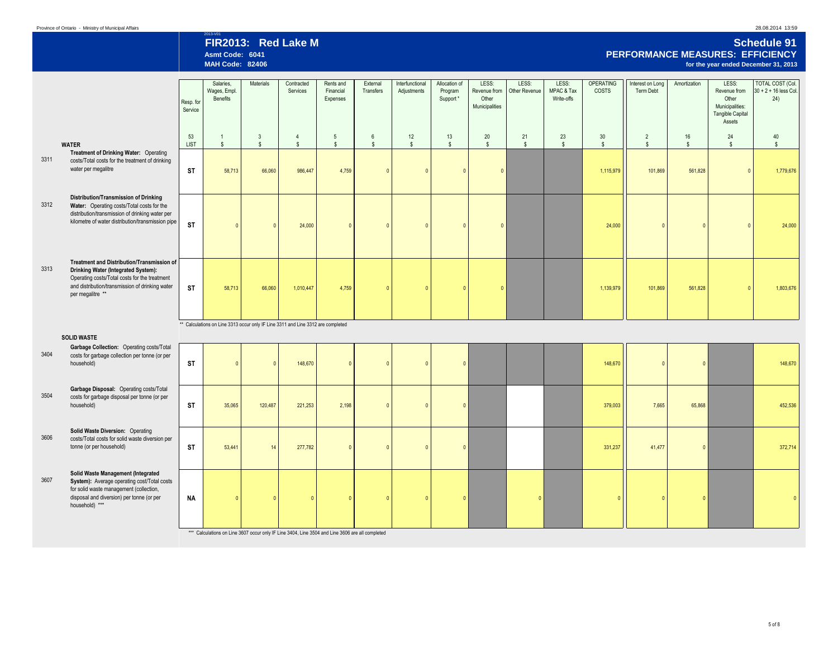2013-V01 **FIR2013: Red Lake M Schedule 91 Asmt Code: 6041 PERFORMANCE MEASURES: EFFICIENCY for the year ended December 31, 2013** 

|      |                                                                                                                                                                                                           | Resp. for<br>Service | Salaries,<br>Wages, Empl.<br>Benefits | Materials                                                                        | Contracted<br>Services           | Rents and<br>Financial<br>Expenses | External<br>Transfers             | Interfunctional<br>Adjustments | Allocation of<br>Program<br>Support* | LESS:<br>Revenue from<br>Other<br>Municipalities | LESS:<br>Other Revenue | LESS:<br>MPAC & Tax<br>Write-offs | <b>OPERATING</b><br><b>COSTS</b> | Interest on Long<br>Term Debt    | Amortization         | LESS:<br>Revenue from<br>Other<br>Municipalities:<br><b>Tangible Capital</b><br>Assets | TOTAL COST (Col.<br>30 + 2 + 16 less Col.<br>24) |
|------|-----------------------------------------------------------------------------------------------------------------------------------------------------------------------------------------------------------|----------------------|---------------------------------------|----------------------------------------------------------------------------------|----------------------------------|------------------------------------|-----------------------------------|--------------------------------|--------------------------------------|--------------------------------------------------|------------------------|-----------------------------------|----------------------------------|----------------------------------|----------------------|----------------------------------------------------------------------------------------|--------------------------------------------------|
|      | <b>WATER</b>                                                                                                                                                                                              | 53<br><b>LIST</b>    | $\mathbf{1}$<br>$$\mathbb{S}$$        | $\mathbf{3}$<br>$\mathsf{s}$                                                     | $\overline{4}$<br>$$\mathbb{S}$$ | $5\,$<br>$$\mathbb{S}$$            | $6\phantom{.0}$<br>$$\mathbb{S}$$ | 12<br>$$\mathbb{S}$$           | 13<br>$\mathsf{s}$                   | 20<br>$\mathsf{s}$                               | 21<br>$\mathsf{s}$     | 23<br>$\mathsf{s}$                | 30<br>$$\mathbb{S}$$             | $\overline{2}$<br>$$\mathbb{S}$$ | 16<br>$\mathbb{S}^-$ | 24<br>$\mathbb{S}$                                                                     | 40<br>$\mathbb{S}$                               |
| 3311 | Treatment of Drinking Water: Operating<br>costs/Total costs for the treatment of drinking<br>water per megalitre                                                                                          | <b>ST</b>            | 58,713                                | 66,060                                                                           | 986,447                          | 4,759                              | $\sqrt{ }$                        | $\Omega$                       | $\sqrt{ }$                           | $\mathbf{0}$                                     |                        |                                   | 1,115,979                        | 101,869                          | 561,828              |                                                                                        | 1,779,676                                        |
| 3312 | Distribution/Transmission of Drinking<br>Water: Operating costs/Total costs for the<br>distribution/transmission of drinking water per<br>kilometre of water distribution/transmission pipe               | <b>ST</b>            |                                       |                                                                                  | 24,000                           | $\mathbf{0}$                       |                                   |                                |                                      | $\Omega$                                         |                        |                                   | 24,000                           | $\Omega$                         | $\Omega$             | $\Omega$                                                                               | 24,000                                           |
| 3313 | Treatment and Distribution/Transmission of<br>Drinking Water (Integrated System):<br>Operating costs/Total costs for the treatment<br>and distribution/transmission of drinking water<br>per megalitre ** | <b>ST</b>            | 58,713                                | 66,060                                                                           | 1,010,447                        | 4,759                              | $\Omega$                          | $\sqrt{ }$                     | $\sqrt{2}$                           | $\mathbf{0}$                                     |                        |                                   | 1,139,979                        | 101,869                          | 561,828              |                                                                                        | 1,803,676                                        |
|      | <b>SOLID WASTE</b>                                                                                                                                                                                        |                      |                                       | ** Calculations on Line 3313 occur only IF Line 3311 and Line 3312 are completed |                                  |                                    |                                   |                                |                                      |                                                  |                        |                                   |                                  |                                  |                      |                                                                                        |                                                  |
| 3404 | Garbage Collection: Operating costs/Total<br>costs for garbage collection per tonne (or per<br>household)                                                                                                 | <b>ST</b>            |                                       |                                                                                  | 148,670                          | $\mathbf{0}$                       |                                   |                                | $\Omega$                             |                                                  |                        |                                   | 148,670                          | $\mathbf{0}$                     | $\overline{0}$       |                                                                                        | 148,670                                          |
| 3504 | Garbage Disposal: Operating costs/Total<br>costs for garbage disposal per tonne (or per<br>household)                                                                                                     | <b>ST</b>            | 35,065                                | 120,487                                                                          | 221,253                          | 2,198                              | $\Omega$                          | $\sqrt{ }$                     | $\sqrt{2}$                           |                                                  |                        |                                   | 379,003                          | 7,665                            | 65,868               |                                                                                        | 452,536                                          |
| 3606 | Solid Waste Diversion: Operating<br>costs/Total costs for solid waste diversion per<br>tonne (or per household)                                                                                           | <b>ST</b>            | 53,441                                | 14                                                                               | 277,782                          | $\Omega$                           |                                   | $\Omega$                       | $\sqrt{2}$                           |                                                  |                        |                                   | 331,237                          | 41,477                           | $\sqrt{2}$           |                                                                                        | 372,714                                          |
| 3607 | Solid Waste Management (Integrated<br>System): Average operating cost/Total costs<br>for solid waste management (collection,<br>disposal and diversion) per tonne (or per<br>household) ***               | <b>NA</b>            | $\Omega$                              |                                                                                  |                                  | $\Omega$                           |                                   |                                | $\overline{0}$                       |                                                  |                        |                                   |                                  | $\mathbf{0}$                     | $\mathbf{0}$         |                                                                                        |                                                  |

\*\*\* Calculations on Line 3607 occur only IF Line 3404, Line 3504 and Line 3606 are all completed

└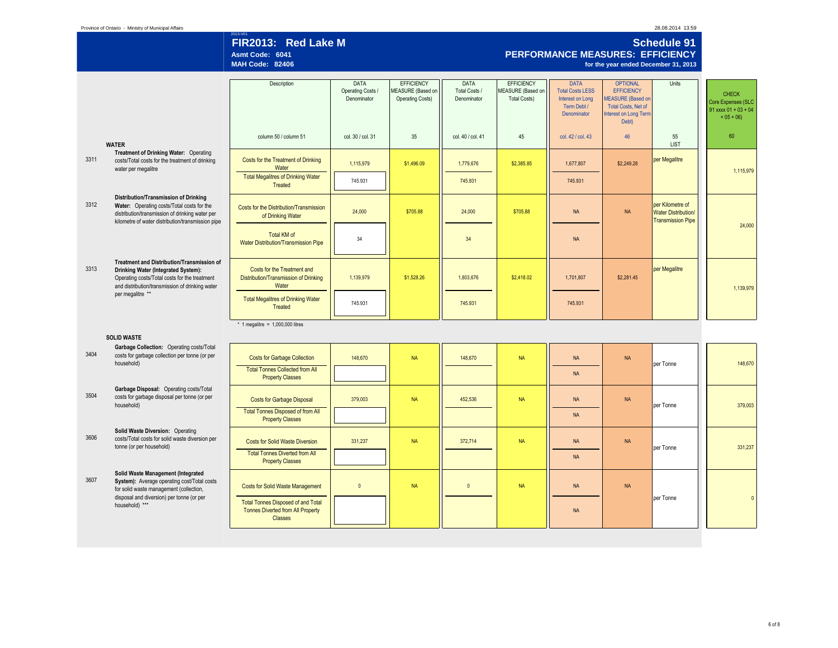|      |                                                                                                                                                                                             | FIR2013: Red Lake M<br>Asmt Code: 6041<br><b>MAH Code: 82406</b>                                        |                                                 |                                                                          |                                      |                                                                      |                                                                                          | <b>PERFORMANCE MEASURES: EFFICIENCY</b><br>for the year ended December 31, 2013                                                  | <b>Schedule 91</b>                                                         |                                                                              |
|------|---------------------------------------------------------------------------------------------------------------------------------------------------------------------------------------------|---------------------------------------------------------------------------------------------------------|-------------------------------------------------|--------------------------------------------------------------------------|--------------------------------------|----------------------------------------------------------------------|------------------------------------------------------------------------------------------|----------------------------------------------------------------------------------------------------------------------------------|----------------------------------------------------------------------------|------------------------------------------------------------------------------|
|      |                                                                                                                                                                                             | Description                                                                                             | <b>DATA</b><br>Operating Costs /<br>Denominator | <b>EFFICIENCY</b><br><b>MEASURE</b> (Based on<br><b>Operating Costs)</b> | DATA<br>Total Costs /<br>Denominator | <b>EFFICIENCY</b><br><b>MEASURE</b> (Based on<br><b>Total Costs)</b> | <b>DATA</b><br><b>Total Costs LESS</b><br>Interest on Long<br>Term Debt /<br>Denominator | <b>OPTIONAL</b><br><b>EFFICIENCY</b><br><b>MEASURE</b> (Based on<br><b>Total Costs, Net of</b><br>Interest on Long Term<br>Debt) | Units                                                                      | <b>CHECK</b><br>Core Expenses (SLC<br>$91$ xxxx $01 + 03 + 04$<br>$+05 + 06$ |
|      | <b>WATER</b>                                                                                                                                                                                | column 50 / column 51                                                                                   | col. 30 / col. 31                               | 35                                                                       | col. 40 / col. 41                    | 45                                                                   | col. 42 / col. 43                                                                        | 46                                                                                                                               | 55<br>LIST                                                                 | 60                                                                           |
| 3311 | Treatment of Drinking Water: Operating<br>costs/Total costs for the treatment of drinking<br>water per megalitre                                                                            | Costs for the Treatment of Drinking<br>Water                                                            | 1,115,979                                       | \$1,496.09                                                               | 1,779,676                            | \$2,385.85                                                           | 1,677,807                                                                                | \$2,249.28                                                                                                                       | per Megalitre                                                              | 1,115,979                                                                    |
|      |                                                                                                                                                                                             | <b>Total Megalitres of Drinking Water</b><br>Treated                                                    | 745.931                                         |                                                                          | 745.931                              |                                                                      | 745.931                                                                                  |                                                                                                                                  |                                                                            |                                                                              |
| 3312 | Distribution/Transmission of Drinking<br>Water: Operating costs/Total costs for the<br>distribution/transmission of drinking water per<br>kilometre of water distribution/transmission pipe | Costs for the Distribution/Transmission<br>of Drinking Water                                            | 24,000                                          | \$705.88                                                                 | 24,000                               | \$705.88                                                             | <b>NA</b>                                                                                | <b>NA</b>                                                                                                                        | per Kilometre of<br><b>Water Distribution/</b><br><b>Transmission Pipe</b> | 24,000                                                                       |
|      |                                                                                                                                                                                             | <b>Total KM of</b><br>Water Distribution/Transmission Pipe                                              | 34                                              |                                                                          | 34                                   |                                                                      | <b>NA</b>                                                                                |                                                                                                                                  |                                                                            |                                                                              |
| 3313 | Treatment and Distribution/Transmission of<br>Drinking Water (Integrated System):<br>Operating costs/Total costs for the treatment<br>and distribution/transmission of drinking water       | Costs for the Treatment and<br>Distribution/Transmission of Drinking<br>Water                           | 1,139,979                                       | \$1,528.26                                                               | 1,803,676                            | \$2,418.02                                                           | 1,701,807                                                                                | \$2,281.45                                                                                                                       | per Megalitre                                                              | 1.139.979                                                                    |
|      | per megalitre **                                                                                                                                                                            | <b>Total Megalitres of Drinking Water</b><br>Treated                                                    | 745.931                                         |                                                                          | 745.931                              |                                                                      | 745.931                                                                                  |                                                                                                                                  |                                                                            |                                                                              |
|      | <b>SOLID WASTE</b>                                                                                                                                                                          | $*$ 1 megalitre = 1,000,000 litres                                                                      |                                                 |                                                                          |                                      |                                                                      |                                                                                          |                                                                                                                                  |                                                                            |                                                                              |
| 3404 | Garbage Collection: Operating costs/Total<br>costs for garbage collection per tonne (or per<br>household)                                                                                   | <b>Costs for Garbage Collection</b><br><b>Total Tonnes Collected from All</b>                           | 148,670                                         | <b>NA</b>                                                                | 148,670                              | <b>NA</b>                                                            | <b>NA</b>                                                                                | <b>NA</b>                                                                                                                        | per Tonne                                                                  | 148,670                                                                      |
|      |                                                                                                                                                                                             | <b>Property Classes</b>                                                                                 |                                                 |                                                                          |                                      |                                                                      | <b>NA</b>                                                                                |                                                                                                                                  |                                                                            |                                                                              |
| 3504 | Garbage Disposal: Operating costs/Total<br>costs for garbage disposal per tonne (or per<br>household)                                                                                       | <b>Costs for Garbage Disposal</b><br><b>Total Tonnes Disposed of from All</b>                           | 379,003                                         | <b>NA</b>                                                                | 452,536                              | <b>NA</b>                                                            | <b>NA</b>                                                                                | <b>NA</b>                                                                                                                        | per Tonne                                                                  | 379,003                                                                      |
|      |                                                                                                                                                                                             | <b>Property Classes</b>                                                                                 |                                                 |                                                                          |                                      |                                                                      | <b>NA</b>                                                                                |                                                                                                                                  |                                                                            |                                                                              |
| 3606 | Solid Waste Diversion: Operating<br>costs/Total costs for solid waste diversion per<br>tonne (or per household)                                                                             | <b>Costs for Solid Waste Diversion</b><br><b>Total Tonnes Diverted from All</b>                         | 331,237                                         | <b>NA</b>                                                                | 372,714                              | <b>NA</b>                                                            | <b>NA</b>                                                                                | <b>NA</b>                                                                                                                        | per Tonne                                                                  | 331,237                                                                      |
|      | Solid Waste Management (Integrated                                                                                                                                                          | <b>Property Classes</b>                                                                                 |                                                 |                                                                          |                                      |                                                                      | <b>NA</b>                                                                                |                                                                                                                                  |                                                                            |                                                                              |
| 3607 | System): Average operating cost/Total costs<br>for solid waste management (collection,<br>disposal and diversion) per tonne (or per                                                         | <b>Costs for Solid Waste Management</b>                                                                 | $\overline{0}$                                  | <b>NA</b>                                                                | $\mathbf{0}$                         | <b>NA</b>                                                            | <b>NA</b>                                                                                | <b>NA</b>                                                                                                                        |                                                                            |                                                                              |
|      | household) ***                                                                                                                                                                              | <b>Total Tonnes Disposed of and Total</b><br><b>Tonnes Diverted from All Property</b><br><b>Classes</b> |                                                 |                                                                          |                                      |                                                                      | <b>NA</b>                                                                                |                                                                                                                                  | per Tonne                                                                  | $\Omega$                                                                     |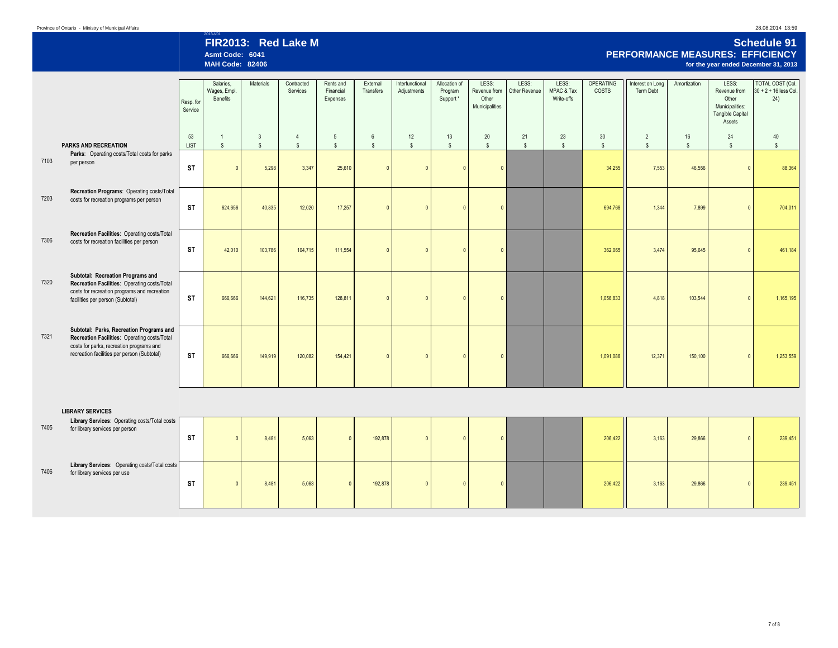2013-V01 **FIR2013: Red Lake M Schedule 91 Asmt Code: 6041 PERFORMANCE MEASURES: EFFICIENCY for the year ended December 31, 2013** 

|      |                                                                                                                                                                                     | Resp. for<br>Service | Salaries.<br>Wages, Empl.<br>Benefits | Materials             | Contracted<br>Services | Rents and<br>Financial<br>Expenses | External<br>Transfers | Interfunctional<br>Adjustments | Allocation of<br>Program<br>Support* | LESS:<br>Other<br>Municipalities | LESS:<br>Revenue from   Other Revenue | LESS:<br>MPAC & Tax<br>Write-offs | OPERATING<br>COSTS     | Interest on Long<br>Term Debt | Amortization | LESS:<br>Revenue from<br>Other<br>Municipalities:<br><b>Tangible Capital</b><br>Assets | <b>TOTAL COST (Col.</b><br>$30 + 2 + 16$ less Col.<br>24) |
|------|-------------------------------------------------------------------------------------------------------------------------------------------------------------------------------------|----------------------|---------------------------------------|-----------------------|------------------------|------------------------------------|-----------------------|--------------------------------|--------------------------------------|----------------------------------|---------------------------------------|-----------------------------------|------------------------|-------------------------------|--------------|----------------------------------------------------------------------------------------|-----------------------------------------------------------|
|      | <b>PARKS AND RECREATION</b>                                                                                                                                                         | 53                   |                                       | 3                     | $\overline{4}$         | $\overline{5}$                     | 6                     | 12                             | 13                                   | 20                               | 21                                    | 23                                | 30                     | $\overline{2}$                | 16           | 24                                                                                     | 40                                                        |
| 7103 | Parks: Operating costs/Total costs for parks<br>per person                                                                                                                          | LIST<br><b>ST</b>    | $\mathfrak{s}$                        | $\mathbf{s}$<br>5,298 | $\mathbf{s}$<br>3,347  | $\mathsf{s}$<br>25,610             | $\mathbb{S}$          | $\mathsf{s}$                   | s                                    | <sub>S</sub><br>$\Omega$         | $\mathbf{s}$                          | $\mathbf{s}$                      | $\mathbb{S}$<br>34,255 | $\mathfrak{s}$<br>7.553       | \$<br>46,556 | $\mathsf{s}$                                                                           | -S<br>88,364                                              |
| 7203 | Recreation Programs: Operating costs/Total<br>costs for recreation programs per person                                                                                              | <b>ST</b>            | 624,656                               | 40,835                | 12,020                 | 17,257                             |                       |                                |                                      | $\sqrt{ }$                       |                                       |                                   | 694,768                | 1.344                         | 7,899        |                                                                                        | 704,011                                                   |
| 7306 | Recreation Facilities: Operating costs/Total<br>costs for recreation facilities per person                                                                                          | <b>ST</b>            | 42,010                                | 103,786               | 104,715                | 111,554                            |                       |                                |                                      | $\Omega$                         |                                       |                                   | 362,065                | 3,474                         | 95,645       |                                                                                        | 461,184                                                   |
| 7320 | Subtotal: Recreation Programs and<br>Recreation Facilities: Operating costs/Total<br>costs for recreation programs and recreation<br>facilities per person (Subtotal)               | <b>ST</b>            | 666,666                               | 144,621               | 116,735                | 128,811                            |                       |                                |                                      | $\sqrt{ }$                       |                                       |                                   | 1,056,833              | 4.818                         | 103,544      |                                                                                        | 1,165,195                                                 |
| 7321 | Subtotal: Parks, Recreation Programs and<br>Recreation Facilities: Operating costs/Total<br>costs for parks, recreation programs and<br>recreation facilities per person (Subtotal) | <b>ST</b>            | 666,666                               | 149,919               | 120,082                | 154,421                            |                       |                                |                                      | $\sqrt{2}$                       |                                       |                                   | 1,091,088              | 12,371                        | 150,100      |                                                                                        | 1,253,559                                                 |

### **LIBRARY SERVICES**

| 7405 | Library Services: Operating costs/Total costs<br>for library services per person | <b>ST</b> | 8,481 | 5,063 | 192,878 |  |  | 206,422 | 3,163 | 29,866 |  | 239,451 |
|------|----------------------------------------------------------------------------------|-----------|-------|-------|---------|--|--|---------|-------|--------|--|---------|
| 7406 | Library Services: Operating costs/Total costs<br>for library services per use    | <b>ST</b> | 8,481 | 5,063 | 192,878 |  |  | 206,422 | 3,163 | 29,866 |  | 239,451 |